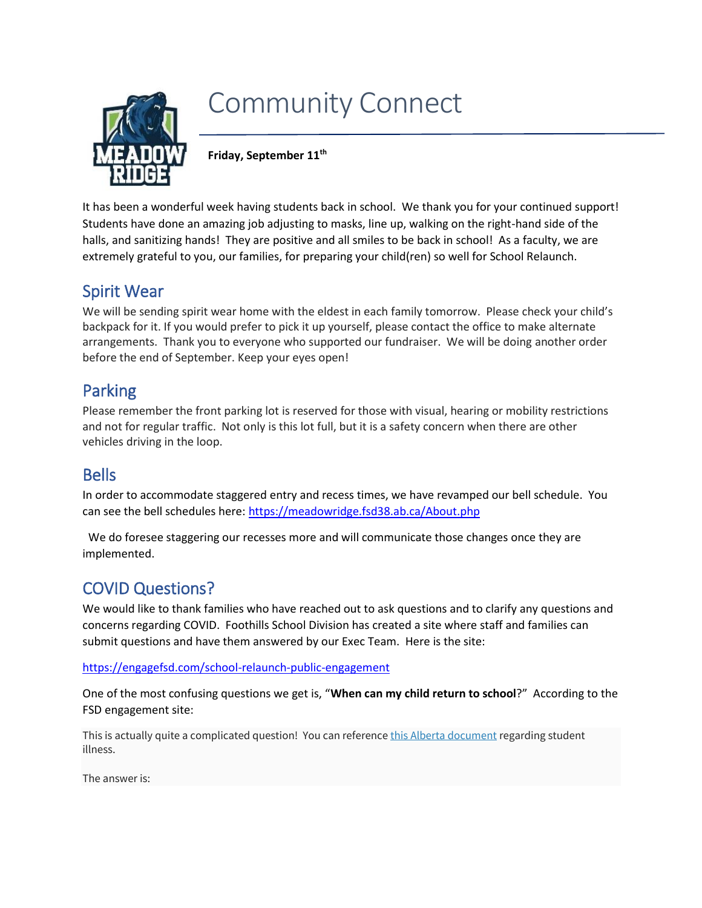

# Community Connect

**Friday, September 11th**

It has been a wonderful week having students back in school. We thank you for your continued support! Students have done an amazing job adjusting to masks, line up, walking on the right-hand side of the halls, and sanitizing hands! They are positive and all smiles to be back in school! As a faculty, we are extremely grateful to you, our families, for preparing your child(ren) so well for School Relaunch.

## Spirit Wear

We will be sending spirit wear home with the eldest in each family tomorrow. Please check your child's backpack for it. If you would prefer to pick it up yourself, please contact the office to make alternate arrangements. Thank you to everyone who supported our fundraiser. We will be doing another order before the end of September. Keep your eyes open!

#### Parking

Please remember the front parking lot is reserved for those with visual, hearing or mobility restrictions and not for regular traffic. Not only is this lot full, but it is a safety concern when there are other vehicles driving in the loop.

#### Bells

In order to accommodate staggered entry and recess times, we have revamped our bell schedule. You can see the bell schedules here[: https://meadowridge.fsd38.ab.ca/About.php](https://meadowridge.fsd38.ab.ca/About.php)

 We do foresee staggering our recesses more and will communicate those changes once they are implemented.

## COVID Questions?

We would like to thank families who have reached out to ask questions and to clarify any questions and concerns regarding COVID. Foothills School Division has created a site where staff and families can submit questions and have them answered by our Exec Team. Here is the site:

<https://engagefsd.com/school-relaunch-public-engagement>

One of the most confusing questions we get is, "**When can my child return to school**?" According to the FSD engagement site:

This is actually quite a complicated question! You can reference *[this Alberta document](https://open.alberta.ca/dataset/20d4bb45-0eb4-42cc-8553-94eafc34ee58/resource/46ed4b17-2989-412a-a70c-2bf1ddd3e239/download/edu-covid-19-student-illness.pdf)* regarding student illness.

The answer is: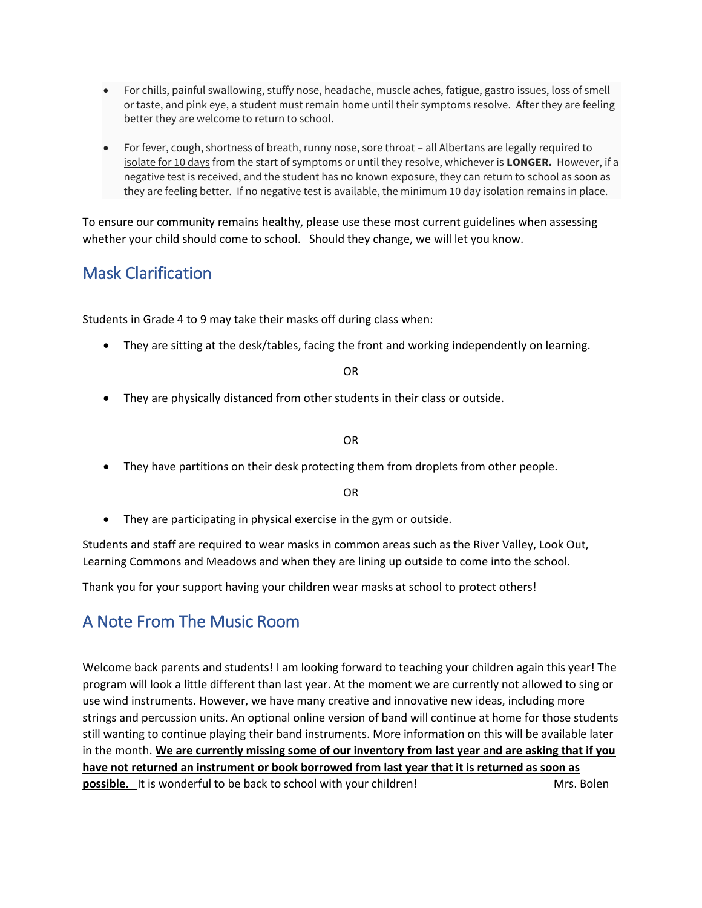- For chills, painful swallowing, stuffy nose, headache, muscle aches, fatigue, gastro issues, loss of smell or taste, and pink eye, a student must remain home until their symptoms resolve. After they are feeling better they are welcome to return to school.
- For fever, cough, shortness of breath, runny nose, sore throat all Albertans are legally required to isolate for 10 days from the start of symptoms or until they resolve, whichever is **LONGER.** However, if a negative test is received, and the student has no known exposure, they can return to school as soon as they are feeling better. If no negative test is available, the minimum 10 day isolation remains in place.

To ensure our community remains healthy, please use these most current guidelines when assessing whether your child should come to school. Should they change, we will let you know.

## Mask Clarification

Students in Grade 4 to 9 may take their masks off during class when:

• They are sitting at the desk/tables, facing the front and working independently on learning.

OR

• They are physically distanced from other students in their class or outside.

OR

• They have partitions on their desk protecting them from droplets from other people.

OR

• They are participating in physical exercise in the gym or outside.

Students and staff are required to wear masks in common areas such as the River Valley, Look Out, Learning Commons and Meadows and when they are lining up outside to come into the school.

Thank you for your support having your children wear masks at school to protect others!

## A Note From The Music Room

Welcome back parents and students! I am looking forward to teaching your children again this year! The program will look a little different than last year. At the moment we are currently not allowed to sing or use wind instruments. However, we have many creative and innovative new ideas, including more strings and percussion units. An optional online version of band will continue at home for those students still wanting to continue playing their band instruments. More information on this will be available later in the month. **We are currently missing some of our inventory from last year and are asking that if you have not returned an instrument or book borrowed from last year that it is returned as soon as possible.** It is wonderful to be back to school with your children! Mrs. Bolen